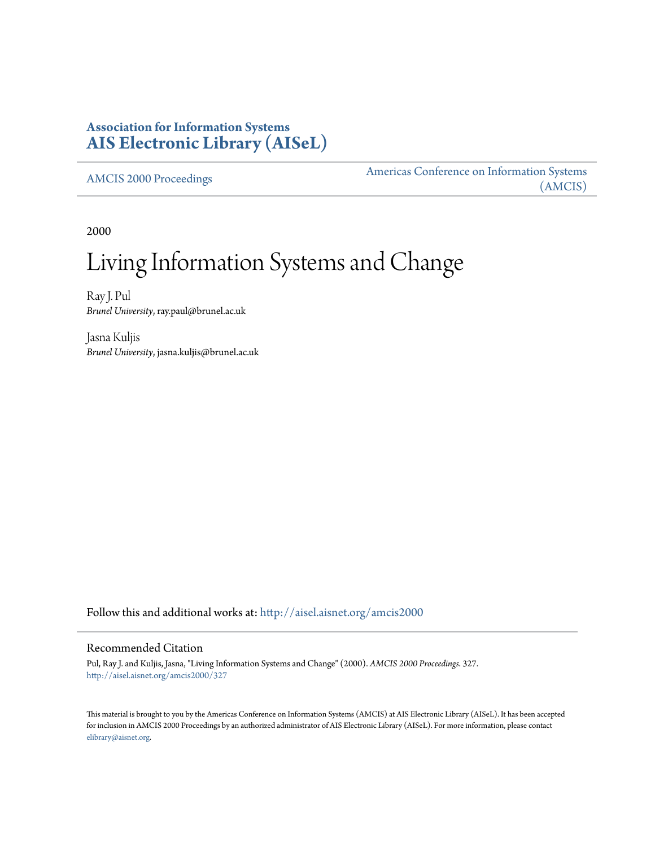# **Association for Information Systems [AIS Electronic Library \(AISeL\)](http://aisel.aisnet.org?utm_source=aisel.aisnet.org%2Famcis2000%2F327&utm_medium=PDF&utm_campaign=PDFCoverPages)**

[AMCIS 2000 Proceedings](http://aisel.aisnet.org/amcis2000?utm_source=aisel.aisnet.org%2Famcis2000%2F327&utm_medium=PDF&utm_campaign=PDFCoverPages)

[Americas Conference on Information Systems](http://aisel.aisnet.org/amcis?utm_source=aisel.aisnet.org%2Famcis2000%2F327&utm_medium=PDF&utm_campaign=PDFCoverPages) [\(AMCIS\)](http://aisel.aisnet.org/amcis?utm_source=aisel.aisnet.org%2Famcis2000%2F327&utm_medium=PDF&utm_campaign=PDFCoverPages)

2000

# Living Information Systems and Change

Ray J. Pul *Brunel University*, ray.paul@brunel.ac.uk

Jasna Kuljis *Brunel University*, jasna.kuljis@brunel.ac.uk

Follow this and additional works at: [http://aisel.aisnet.org/amcis2000](http://aisel.aisnet.org/amcis2000?utm_source=aisel.aisnet.org%2Famcis2000%2F327&utm_medium=PDF&utm_campaign=PDFCoverPages)

#### Recommended Citation

Pul, Ray J. and Kuljis, Jasna, "Living Information Systems and Change" (2000). *AMCIS 2000 Proceedings*. 327. [http://aisel.aisnet.org/amcis2000/327](http://aisel.aisnet.org/amcis2000/327?utm_source=aisel.aisnet.org%2Famcis2000%2F327&utm_medium=PDF&utm_campaign=PDFCoverPages)

This material is brought to you by the Americas Conference on Information Systems (AMCIS) at AIS Electronic Library (AISeL). It has been accepted for inclusion in AMCIS 2000 Proceedings by an authorized administrator of AIS Electronic Library (AISeL). For more information, please contact [elibrary@aisnet.org.](mailto:elibrary@aisnet.org%3E)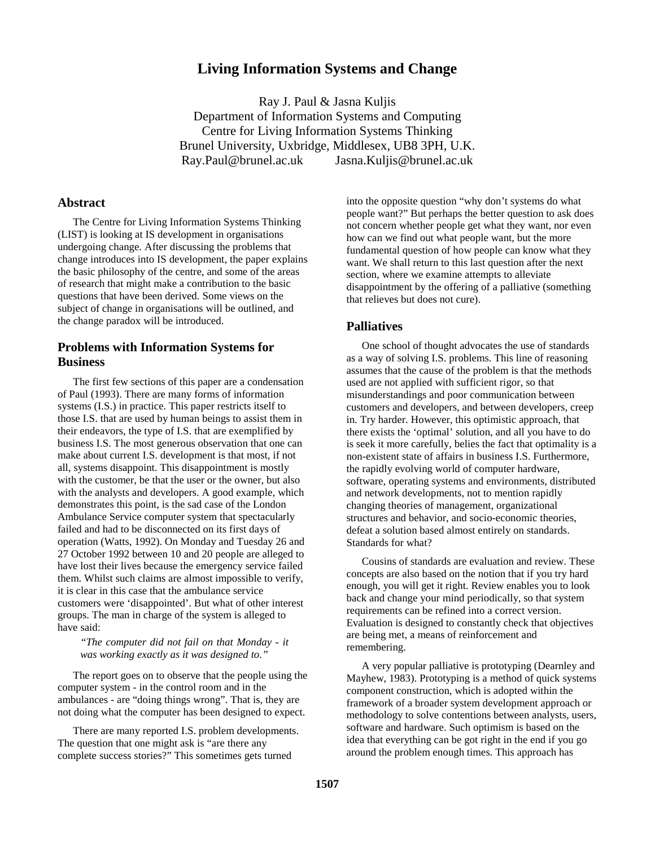# **Living Information Systems and Change**

Ray J. Paul & Jasna Kuljis Department of Information Systems and Computing Centre for Living Information Systems Thinking Brunel University, Uxbridge, Middlesex, UB8 3PH, U.K. Ray.Paul@brunel.ac.uk Jasna.Kuljis@brunel.ac.uk

#### **Abstract**

The Centre for Living Information Systems Thinking (LIST) is looking at IS development in organisations undergoing change. After discussing the problems that change introduces into IS development, the paper explains the basic philosophy of the centre, and some of the areas of research that might make a contribution to the basic questions that have been derived. Some views on the subject of change in organisations will be outlined, and the change paradox will be introduced.

## **Problems with Information Systems for Business**

The first few sections of this paper are a condensation of Paul (1993). There are many forms of information systems (I.S.) in practice. This paper restricts itself to those I.S. that are used by human beings to assist them in their endeavors, the type of I.S. that are exemplified by business I.S. The most generous observation that one can make about current I.S. development is that most, if not all, systems disappoint. This disappointment is mostly with the customer, be that the user or the owner, but also with the analysts and developers. A good example, which demonstrates this point, is the sad case of the London Ambulance Service computer system that spectacularly failed and had to be disconnected on its first days of operation (Watts, 1992). On Monday and Tuesday 26 and 27 October 1992 between 10 and 20 people are alleged to have lost their lives because the emergency service failed them. Whilst such claims are almost impossible to verify, it is clear in this case that the ambulance service customers were 'disappointed'. But what of other interest groups. The man in charge of the system is alleged to have said:

*"The computer did not fail on that Monday - it was working exactly as it was designed to."*

The report goes on to observe that the people using the computer system - in the control room and in the ambulances - are "doing things wrong". That is, they are not doing what the computer has been designed to expect.

There are many reported I.S. problem developments. The question that one might ask is "are there any complete success stories?" This sometimes gets turned

into the opposite question "why don't systems do what people want?" But perhaps the better question to ask does not concern whether people get what they want, nor even how can we find out what people want, but the more fundamental question of how people can know what they want. We shall return to this last question after the next section, where we examine attempts to alleviate disappointment by the offering of a palliative (something that relieves but does not cure).

#### **Palliatives**

One school of thought advocates the use of standards as a way of solving I.S. problems. This line of reasoning assumes that the cause of the problem is that the methods used are not applied with sufficient rigor, so that misunderstandings and poor communication between customers and developers, and between developers, creep in. Try harder. However, this optimistic approach, that there exists the 'optimal' solution, and all you have to do is seek it more carefully, belies the fact that optimality is a non-existent state of affairs in business I.S. Furthermore, the rapidly evolving world of computer hardware, software, operating systems and environments, distributed and network developments, not to mention rapidly changing theories of management, organizational structures and behavior, and socio-economic theories, defeat a solution based almost entirely on standards. Standards for what?

Cousins of standards are evaluation and review. These concepts are also based on the notion that if you try hard enough, you will get it right. Review enables you to look back and change your mind periodically, so that system requirements can be refined into a correct version. Evaluation is designed to constantly check that objectives are being met, a means of reinforcement and remembering.

A very popular palliative is prototyping (Dearnley and Mayhew, 1983). Prototyping is a method of quick systems component construction, which is adopted within the framework of a broader system development approach or methodology to solve contentions between analysts, users, software and hardware. Such optimism is based on the idea that everything can be got right in the end if you go around the problem enough times. This approach has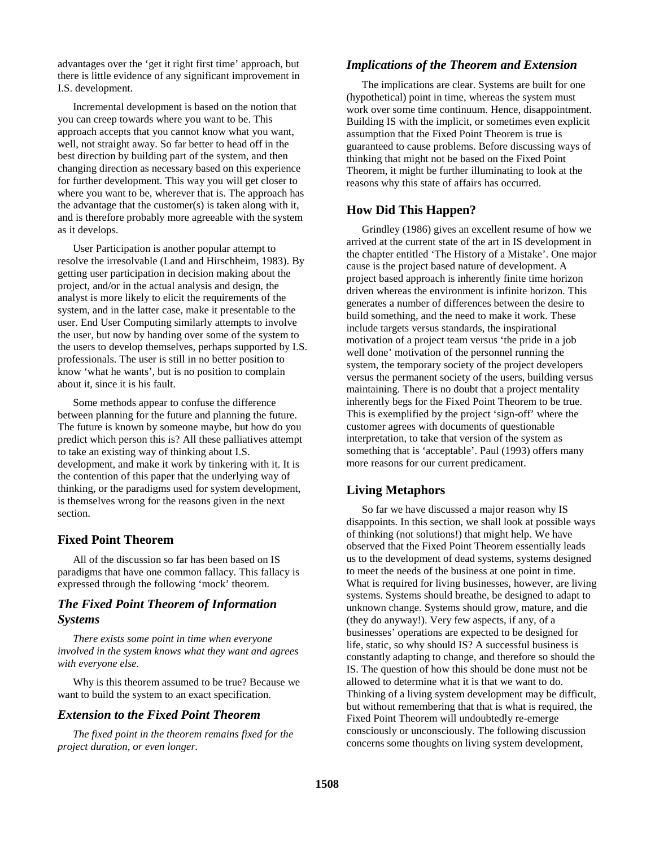advantages over the 'get it right first time' approach, but there is little evidence of any significant improvement in I.S. development.

Incremental development is based on the notion that you can creep towards where you want to be. This approach accepts that you cannot know what you want, well, not straight away. So far better to head off in the best direction by building part of the system, and then changing direction as necessary based on this experience for further development. This way you will get closer to where you want to be, wherever that is. The approach has the advantage that the customer(s) is taken along with it, and is therefore probably more agreeable with the system as it develops.

User Participation is another popular attempt to resolve the irresolvable (Land and Hirschheim, 1983). By getting user participation in decision making about the project, and/or in the actual analysis and design, the analyst is more likely to elicit the requirements of the system, and in the latter case, make it presentable to the user. End User Computing similarly attempts to involve the user, but now by handing over some of the system to the users to develop themselves, perhaps supported by I.S. professionals. The user is still in no better position to know 'what he wants', but is no position to complain about it, since it is his fault.

Some methods appear to confuse the difference between planning for the future and planning the future. The future is known by someone maybe, but how do you predict which person this is? All these palliatives attempt to take an existing way of thinking about I.S. development, and make it work by tinkering with it. It is the contention of this paper that the underlying way of thinking, or the paradigms used for system development, is themselves wrong for the reasons given in the next section.

#### **Fixed Point Theorem**

All of the discussion so far has been based on IS paradigms that have one common fallacy. This fallacy is expressed through the following 'mock' theorem.

#### *The Fixed Point Theorem of Information Systems*

*There exists some point in time when everyone involved in the system knows what they want and agrees with everyone else.*

Why is this theorem assumed to be true? Because we want to build the system to an exact specification.

## *Extension to the Fixed Point Theorem*

*The fixed point in the theorem remains fixed for the project duration, or even longer.*

## *Implications of the Theorem and Extension*

The implications are clear. Systems are built for one (hypothetical) point in time, whereas the system must work over some time continuum. Hence, disappointment. Building IS with the implicit, or sometimes even explicit assumption that the Fixed Point Theorem is true is guaranteed to cause problems. Before discussing ways of thinking that might not be based on the Fixed Point Theorem, it might be further illuminating to look at the reasons why this state of affairs has occurred.

# **How Did This Happen?**

Grindley (1986) gives an excellent resume of how we arrived at the current state of the art in IS development in the chapter entitled 'The History of a Mistake'. One major cause is the project based nature of development. A project based approach is inherently finite time horizon driven whereas the environment is infinite horizon. This generates a number of differences between the desire to build something, and the need to make it work. These include targets versus standards, the inspirational motivation of a project team versus 'the pride in a job well done' motivation of the personnel running the system, the temporary society of the project developers versus the permanent society of the users, building versus maintaining. There is no doubt that a project mentality inherently begs for the Fixed Point Theorem to be true. This is exemplified by the project 'sign-off' where the customer agrees with documents of questionable interpretation, to take that version of the system as something that is 'acceptable'. Paul (1993) offers many more reasons for our current predicament.

## **Living Metaphors**

So far we have discussed a major reason why IS disappoints. In this section, we shall look at possible ways of thinking (not solutions!) that might help. We have observed that the Fixed Point Theorem essentially leads us to the development of dead systems, systems designed to meet the needs of the business at one point in time. What is required for living businesses, however, are living systems. Systems should breathe, be designed to adapt to unknown change. Systems should grow, mature, and die (they do anyway!). Very few aspects, if any, of a businesses' operations are expected to be designed for life, static, so why should IS? A successful business is constantly adapting to change, and therefore so should the IS. The question of how this should be done must not be allowed to determine what it is that we want to do. Thinking of a living system development may be difficult, but without remembering that that is what is required, the Fixed Point Theorem will undoubtedly re-emerge consciously or unconsciously. The following discussion concerns some thoughts on living system development,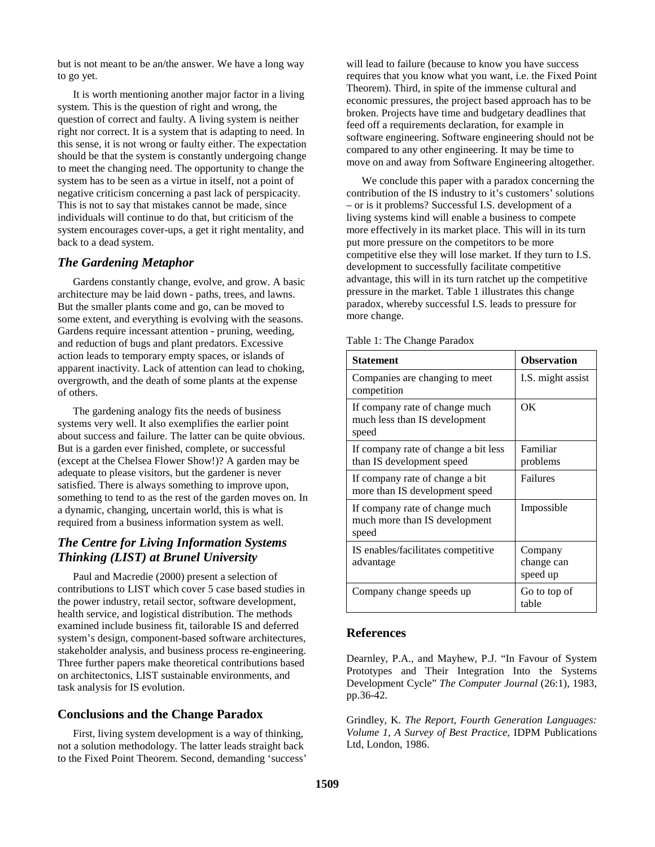but is not meant to be an/the answer. We have a long way to go yet.

It is worth mentioning another major factor in a living system. This is the question of right and wrong, the question of correct and faulty. A living system is neither right nor correct. It is a system that is adapting to need. In this sense, it is not wrong or faulty either. The expectation should be that the system is constantly undergoing change to meet the changing need. The opportunity to change the system has to be seen as a virtue in itself, not a point of negative criticism concerning a past lack of perspicacity. This is not to say that mistakes cannot be made, since individuals will continue to do that, but criticism of the system encourages cover-ups, a get it right mentality, and back to a dead system.

#### *The Gardening Metaphor*

Gardens constantly change, evolve, and grow. A basic architecture may be laid down - paths, trees, and lawns. But the smaller plants come and go, can be moved to some extent, and everything is evolving with the seasons. Gardens require incessant attention - pruning, weeding, and reduction of bugs and plant predators. Excessive action leads to temporary empty spaces, or islands of apparent inactivity. Lack of attention can lead to choking, overgrowth, and the death of some plants at the expense of others.

The gardening analogy fits the needs of business systems very well. It also exemplifies the earlier point about success and failure. The latter can be quite obvious. But is a garden ever finished, complete, or successful (except at the Chelsea Flower Show!)? A garden may be adequate to please visitors, but the gardener is never satisfied. There is always something to improve upon, something to tend to as the rest of the garden moves on. In a dynamic, changing, uncertain world, this is what is required from a business information system as well.

# *The Centre for Living Information Systems Thinking (LIST) at Brunel University*

Paul and Macredie (2000) present a selection of contributions to LIST which cover 5 case based studies in the power industry, retail sector, software development, health service, and logistical distribution. The methods examined include business fit, tailorable IS and deferred system's design, component-based software architectures, stakeholder analysis, and business process re-engineering. Three further papers make theoretical contributions based on architectonics, LIST sustainable environments, and task analysis for IS evolution.

## **Conclusions and the Change Paradox**

First, living system development is a way of thinking, not a solution methodology. The latter leads straight back to the Fixed Point Theorem. Second, demanding 'success'

will lead to failure (because to know you have success requires that you know what you want, i.e. the Fixed Point Theorem). Third, in spite of the immense cultural and economic pressures, the project based approach has to be broken. Projects have time and budgetary deadlines that feed off a requirements declaration, for example in software engineering. Software engineering should not be compared to any other engineering. It may be time to move on and away from Software Engineering altogether.

We conclude this paper with a paradox concerning the contribution of the IS industry to it's customers' solutions – or is it problems? Successful I.S. development of a living systems kind will enable a business to compete more effectively in its market place. This will in its turn put more pressure on the competitors to be more competitive else they will lose market. If they turn to I.S. development to successfully facilitate competitive advantage, this will in its turn ratchet up the competitive pressure in the market. Table 1 illustrates this change paradox, whereby successful I.S. leads to pressure for more change.

| Statement                                                                | <b>Observation</b>                |
|--------------------------------------------------------------------------|-----------------------------------|
| Companies are changing to meet<br>competition                            | I.S. might assist                 |
| If company rate of change much<br>much less than IS development<br>speed | OK                                |
| If company rate of change a bit less<br>than IS development speed        | Familiar<br>problems              |
| If company rate of change a bit<br>more than IS development speed        | Failures                          |
| If company rate of change much<br>much more than IS development<br>speed | Impossible                        |
| IS enables/facilitates competitive<br>advantage                          | Company<br>change can<br>speed up |
| Company change speeds up                                                 | Go to top of<br>table             |

#### Table 1: The Change Paradox

#### **References**

Dearnley, P.A., and Mayhew, P.J. "In Favour of System Prototypes and Their Integration Into the Systems Development Cycle" *The Computer Journal* (26:1), 1983, pp.36-42.

Grindley, K. *The Report, Fourth Generation Languages: Volume 1, A Survey of Best Practice*, IDPM Publications Ltd, London, 1986.